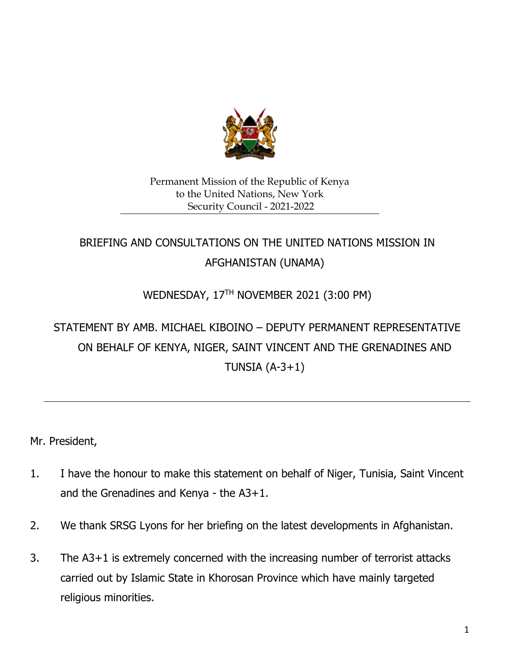

## Permanent Mission of the Republic of Kenya to the United Nations, New York Security Council - 2021-2022

## BRIEFING AND CONSULTATIONS ON THE UNITED NATIONS MISSION IN AFGHANISTAN (UNAMA)

## WEDNESDAY, 17TH NOVEMBER 2021 (3:00 PM)

## STATEMENT BY AMB. MICHAEL KIBOINO – DEPUTY PERMANENT REPRESENTATIVE ON BEHALF OF KENYA, NIGER, SAINT VINCENT AND THE GRENADINES AND TUNSIA  $(A-3+1)$

Mr. President,

- 1. I have the honour to make this statement on behalf of Niger, Tunisia, Saint Vincent and the Grenadines and Kenya - the A3+1.
- 2. We thank SRSG Lyons for her briefing on the latest developments in Afghanistan.
- 3. The A3+1 is extremely concerned with the increasing number of terrorist attacks carried out by Islamic State in Khorosan Province which have mainly targeted religious minorities.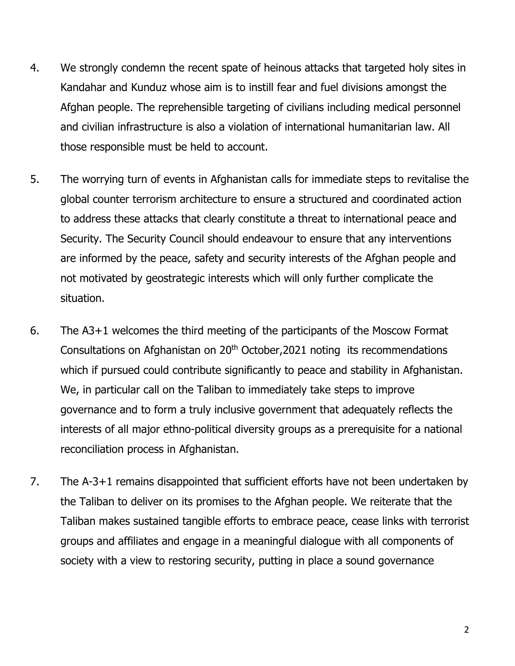- 4. We strongly condemn the recent spate of heinous attacks that targeted holy sites in Kandahar and Kunduz whose aim is to instill fear and fuel divisions amongst the Afghan people. The reprehensible targeting of civilians including medical personnel and civilian infrastructure is also a violation of international humanitarian law. All those responsible must be held to account.
- 5. The worrying turn of events in Afghanistan calls for immediate steps to revitalise the global counter terrorism architecture to ensure a structured and coordinated action to address these attacks that clearly constitute a threat to international peace and Security. The Security Council should endeavour to ensure that any interventions are informed by the peace, safety and security interests of the Afghan people and not motivated by geostrategic interests which will only further complicate the situation.
- 6. The A3+1 welcomes the third meeting of the participants of the Moscow Format Consultations on Afghanistan on 20<sup>th</sup> October, 2021 noting its recommendations which if pursued could contribute significantly to peace and stability in Afghanistan. We, in particular call on the Taliban to immediately take steps to improve governance and to form a truly inclusive government that adequately reflects the interests of all major ethno-political diversity groups as a prerequisite for a national reconciliation process in Afghanistan.
- 7. The A-3+1 remains disappointed that sufficient efforts have not been undertaken by the Taliban to deliver on its promises to the Afghan people. We reiterate that the Taliban makes sustained tangible efforts to embrace peace, cease links with terrorist groups and affiliates and engage in a meaningful dialogue with all components of society with a view to restoring security, putting in place a sound governance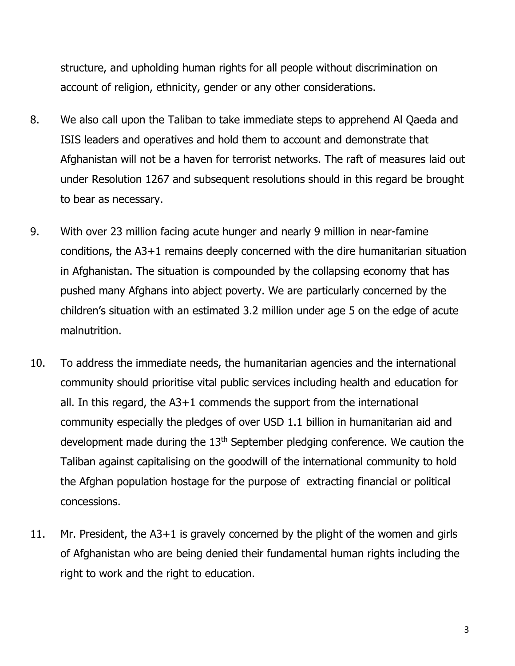structure, and upholding human rights for all people without discrimination on account of religion, ethnicity, gender or any other considerations.

- 8. We also call upon the Taliban to take immediate steps to apprehend Al Qaeda and ISIS leaders and operatives and hold them to account and demonstrate that Afghanistan will not be a haven for terrorist networks. The raft of measures laid out under Resolution 1267 and subsequent resolutions should in this regard be brought to bear as necessary.
- 9. With over 23 million facing acute hunger and nearly 9 million in near-famine conditions, the A3+1 remains deeply concerned with the dire humanitarian situation in Afghanistan. The situation is compounded by the collapsing economy that has pushed many Afghans into abject poverty. We are particularly concerned by the children's situation with an estimated 3.2 million under age 5 on the edge of acute malnutrition.
- 10. To address the immediate needs, the humanitarian agencies and the international community should prioritise vital public services including health and education for all. In this regard, the A3+1 commends the support from the international community especially the pledges of over USD 1.1 billion in humanitarian aid and development made during the 13<sup>th</sup> September pledging conference. We caution the Taliban against capitalising on the goodwill of the international community to hold the Afghan population hostage for the purpose of extracting financial or political concessions.
- 11. Mr. President, the A3+1 is gravely concerned by the plight of the women and girls of Afghanistan who are being denied their fundamental human rights including the right to work and the right to education.